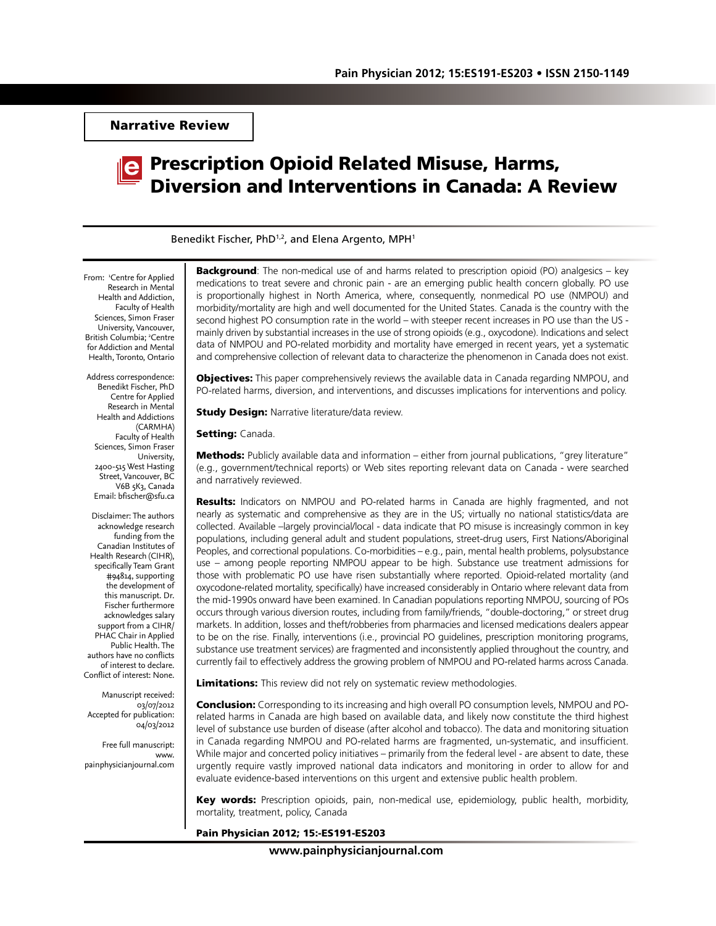Narrative Review

# Prescription Opioid Related Misuse, Harms, Diversion and Interventions in Canada: A Review

Benedikt Fischer, PhD<sup>1,2</sup>, and Elena Argento, MPH<sup>1</sup>

From: <sup>1</sup>Centre for Applied Research in Mental Health and Addiction, Faculty of Health Sciences, Simon Fraser University, Vancouver, British Columbia; <sup>2</sup>Centre for Addiction and Mental Health, Toronto, Ontario

Address correspondence: Benedikt Fischer, PhD Centre for Applied Research in Mental Health and Addictions (CARMHA) Faculty of Health Sciences, Simon Fraser University, 2400-515 West Hasting Street, Vancouver, BC V6B 5K3, Canada Email: bfischer@sfu.ca

Disclaimer: The authors acknowledge research funding from the Canadian Institutes of Health Research (CIHR), specifically Team Grant #94814, supporting the development of this manuscript. Dr. Fischer furthermore acknowledges salary support from a CIHR/ PHAC Chair in Applied Public Health. The authors have no conflicts of interest to declare. Conflict of interest: None.

Manuscript received: 03/07/2012 Accepted for publication: 04/03/2012

Free full manuscript: www. painphysicianjournal.com

**Background**: The non-medical use of and harms related to prescription opioid (PO) analgesics – key medications to treat severe and chronic pain - are an emerging public health concern globally. PO use is proportionally highest in North America, where, consequently, nonmedical PO use (NMPOU) and morbidity/mortality are high and well documented for the United States. Canada is the country with the second highest PO consumption rate in the world – with steeper recent increases in PO use than the US mainly driven by substantial increases in the use of strong opioids (e.g., oxycodone). Indications and select data of NMPOU and PO-related morbidity and mortality have emerged in recent years, yet a systematic and comprehensive collection of relevant data to characterize the phenomenon in Canada does not exist.

**Objectives:** This paper comprehensively reviews the available data in Canada regarding NMPOU, and PO-related harms, diversion, and interventions, and discusses implications for interventions and policy.

**Study Design: Narrative literature/data review.** 

Setting: Canada.

**Methods:** Publicly available data and information – either from journal publications, "grey literature" (e.g., government/technical reports) or Web sites reporting relevant data on Canada - were searched and narratively reviewed.

Results: Indicators on NMPOU and PO-related harms in Canada are highly fragmented, and not nearly as systematic and comprehensive as they are in the US; virtually no national statistics/data are collected. Available –largely provincial/local - data indicate that PO misuse is increasingly common in key populations, including general adult and student populations, street-drug users, First Nations/Aboriginal Peoples, and correctional populations. Co-morbidities – e.g., pain, mental health problems, polysubstance use – among people reporting NMPOU appear to be high. Substance use treatment admissions for those with problematic PO use have risen substantially where reported. Opioid-related mortality (and oxycodone-related mortality, specifically) have increased considerably in Ontario where relevant data from the mid-1990s onward have been examined. In Canadian populations reporting NMPOU, sourcing of POs occurs through various diversion routes, including from family/friends, "double-doctoring," or street drug markets. In addition, losses and theft/robberies from pharmacies and licensed medications dealers appear to be on the rise. Finally, interventions (i.e., provincial PO guidelines, prescription monitoring programs, substance use treatment services) are fragmented and inconsistently applied throughout the country, and currently fail to effectively address the growing problem of NMPOU and PO-related harms across Canada.

Limitations: This review did not rely on systematic review methodologies.

Conclusion: Corresponding to its increasing and high overall PO consumption levels, NMPOU and POrelated harms in Canada are high based on available data, and likely now constitute the third highest level of substance use burden of disease (after alcohol and tobacco). The data and monitoring situation in Canada regarding NMPOU and PO-related harms are fragmented, un-systematic, and insufficient. While major and concerted policy initiatives – primarily from the federal level - are absent to date, these urgently require vastly improved national data indicators and monitoring in order to allow for and evaluate evidence-based interventions on this urgent and extensive public health problem.

Key words: Prescription opioids, pain, non-medical use, epidemiology, public health, morbidity, mortality, treatment, policy, Canada

Pain Physician 2012; 15:-ES191-ES203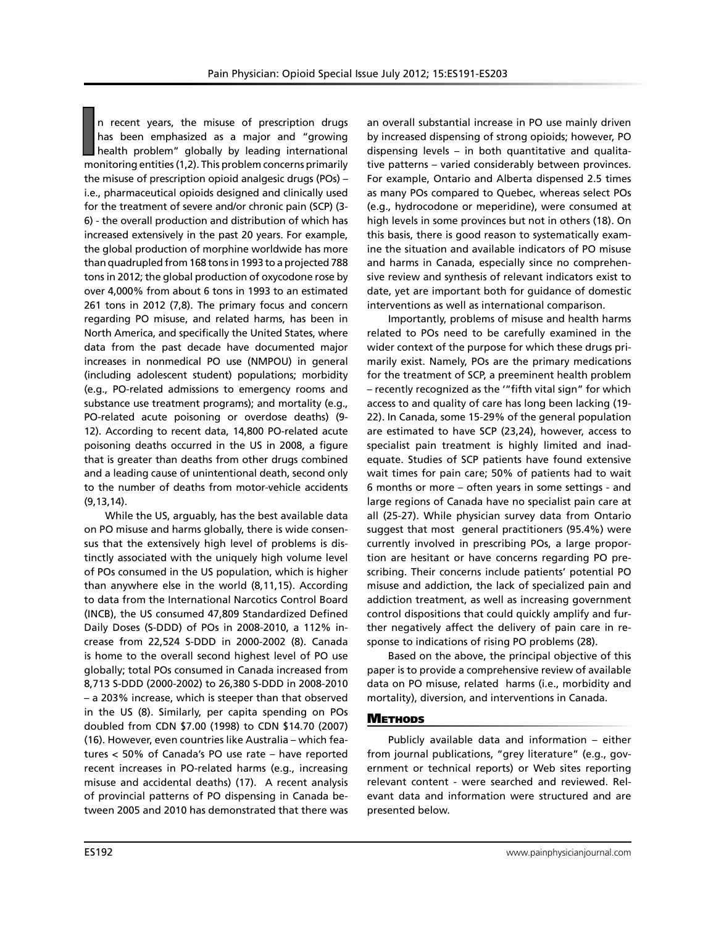I
m recent years, the misuse of prescription drugs<br>has been emphasized as a major and "growing<br>health problem" globally by leading international<br>monitoring entities (1,2). This problem concerns primarily n recent years, the misuse of prescription drugs has been emphasized as a major and "growing health problem" globally by leading international the misuse of prescription opioid analgesic drugs (POs) – i.e., pharmaceutical opioids designed and clinically used for the treatment of severe and/or chronic pain (SCP) (3- 6) - the overall production and distribution of which has increased extensively in the past 20 years. For example, the global production of morphine worldwide has more than quadrupled from 168 tons in 1993 to a projected 788 tons in 2012; the global production of oxycodone rose by over 4,000% from about 6 tons in 1993 to an estimated 261 tons in 2012 (7,8). The primary focus and concern regarding PO misuse, and related harms, has been in North America, and specifically the United States, where data from the past decade have documented major increases in nonmedical PO use (NMPOU) in general (including adolescent student) populations; morbidity (e.g., PO-related admissions to emergency rooms and substance use treatment programs); and mortality (e.g., PO-related acute poisoning or overdose deaths) (9- 12). According to recent data, 14,800 PO-related acute poisoning deaths occurred in the US in 2008, a figure that is greater than deaths from other drugs combined and a leading cause of unintentional death, second only to the number of deaths from motor-vehicle accidents (9,13,14).

While the US, arguably, has the best available data on PO misuse and harms globally, there is wide consensus that the extensively high level of problems is distinctly associated with the uniquely high volume level of POs consumed in the US population, which is higher than anywhere else in the world (8,11,15). According to data from the International Narcotics Control Board (INCB), the US consumed 47,809 Standardized Defined Daily Doses (S-DDD) of POs in 2008-2010, a 112% increase from 22,524 S-DDD in 2000-2002 (8). Canada is home to the overall second highest level of PO use globally; total POs consumed in Canada increased from 8,713 S-DDD (2000-2002) to 26,380 S-DDD in 2008-2010 – a 203% increase, which is steeper than that observed in the US (8). Similarly, per capita spending on POs doubled from CDN \$7.00 (1998) to CDN \$14.70 (2007) (16). However, even countries like Australia – which features < 50% of Canada's PO use rate – have reported recent increases in PO-related harms (e.g., increasing misuse and accidental deaths) (17). A recent analysis of provincial patterns of PO dispensing in Canada between 2005 and 2010 has demonstrated that there was

an overall substantial increase in PO use mainly driven by increased dispensing of strong opioids; however, PO dispensing levels – in both quantitative and qualitative patterns – varied considerably between provinces. For example, Ontario and Alberta dispensed 2.5 times as many POs compared to Quebec, whereas select POs (e.g., hydrocodone or meperidine), were consumed at high levels in some provinces but not in others (18). On this basis, there is good reason to systematically examine the situation and available indicators of PO misuse and harms in Canada, especially since no comprehensive review and synthesis of relevant indicators exist to date, yet are important both for guidance of domestic interventions as well as international comparison.

Importantly, problems of misuse and health harms related to POs need to be carefully examined in the wider context of the purpose for which these drugs primarily exist. Namely, POs are the primary medications for the treatment of SCP, a preeminent health problem – recently recognized as the '"fifth vital sign" for which access to and quality of care has long been lacking (19- 22). In Canada, some 15-29% of the general population are estimated to have SCP (23,24), however, access to specialist pain treatment is highly limited and inadequate. Studies of SCP patients have found extensive wait times for pain care; 50% of patients had to wait 6 months or more – often years in some settings - and large regions of Canada have no specialist pain care at all (25-27). While physician survey data from Ontario suggest that most general practitioners (95.4%) were currently involved in prescribing POs, a large proportion are hesitant or have concerns regarding PO prescribing. Their concerns include patients' potential PO misuse and addiction, the lack of specialized pain and addiction treatment, as well as increasing government control dispositions that could quickly amplify and further negatively affect the delivery of pain care in response to indications of rising PO problems (28).

Based on the above, the principal objective of this paper is to provide a comprehensive review of available data on PO misuse, related harms (i.e., morbidity and mortality), diversion, and interventions in Canada.

## **METHODS**

Publicly available data and information – either from journal publications, "grey literature" (e.g., government or technical reports) or Web sites reporting relevant content - were searched and reviewed. Relevant data and information were structured and are presented below.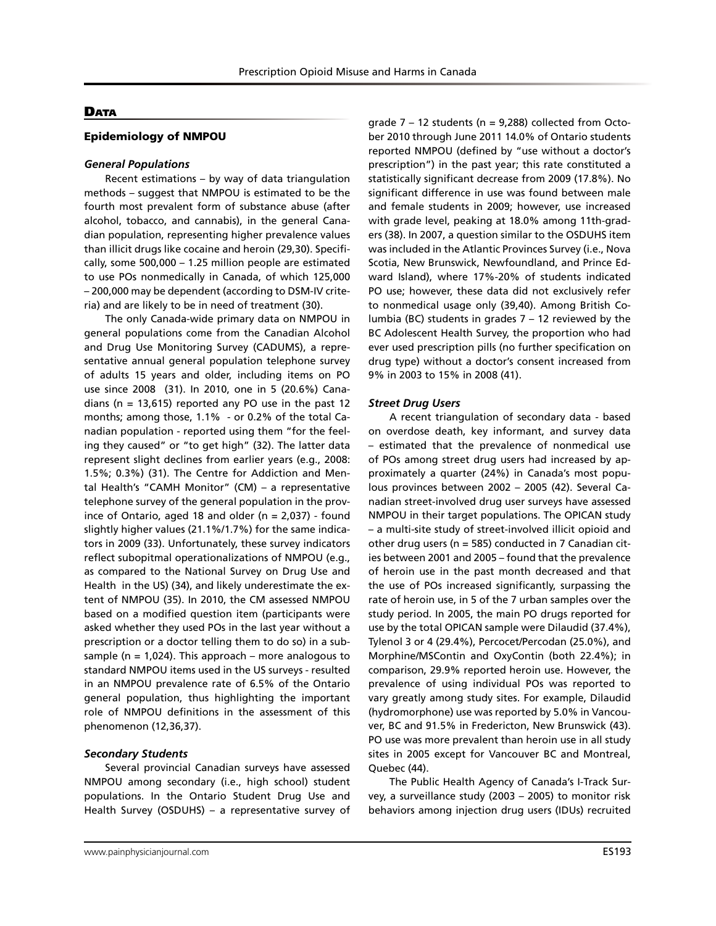### **DATA**

#### Epidemiology of NMPOU

#### *General Populations*

Recent estimations – by way of data triangulation methods – suggest that NMPOU is estimated to be the fourth most prevalent form of substance abuse (after alcohol, tobacco, and cannabis), in the general Canadian population, representing higher prevalence values than illicit drugs like cocaine and heroin (29,30). Specifically, some 500,000 – 1.25 million people are estimated to use POs nonmedically in Canada, of which 125,000 – 200,000 may be dependent (according to DSM-IV criteria) and are likely to be in need of treatment (30).

The only Canada-wide primary data on NMPOU in general populations come from the Canadian Alcohol and Drug Use Monitoring Survey (CADUMS), a representative annual general population telephone survey of adults 15 years and older, including items on PO use since 2008 (31). In 2010, one in 5 (20.6%) Canadians ( $n = 13,615$ ) reported any PO use in the past 12 months; among those, 1.1% - or 0.2% of the total Canadian population - reported using them "for the feeling they caused" or "to get high" (32). The latter data represent slight declines from earlier years (e.g., 2008: 1.5%; 0.3%) (31). The Centre for Addiction and Mental Health's "CAMH Monitor" (CM) – a representative telephone survey of the general population in the province of Ontario, aged 18 and older ( $n = 2,037$ ) - found slightly higher values (21.1%/1.7%) for the same indicators in 2009 (33). Unfortunately, these survey indicators reflect subopitmal operationalizations of NMPOU (e.g., as compared to the National Survey on Drug Use and Health in the US) (34), and likely underestimate the extent of NMPOU (35). In 2010, the CM assessed NMPOU based on a modified question item (participants were asked whether they used POs in the last year without a prescription or a doctor telling them to do so) in a subsample ( $n = 1,024$ ). This approach – more analogous to standard NMPOU items used in the US surveys - resulted in an NMPOU prevalence rate of 6.5% of the Ontario general population, thus highlighting the important role of NMPOU definitions in the assessment of this phenomenon (12,36,37).

#### *Secondary Students*

Several provincial Canadian surveys have assessed NMPOU among secondary (i.e., high school) student populations. In the Ontario Student Drug Use and Health Survey (OSDUHS) – a representative survey of grade  $7 - 12$  students ( $n = 9,288$ ) collected from October 2010 through June 2011 14.0% of Ontario students reported NMPOU (defined by "use without a doctor's prescription") in the past year; this rate constituted a statistically significant decrease from 2009 (17.8%). No significant difference in use was found between male and female students in 2009; however, use increased with grade level, peaking at 18.0% among 11th-graders (38). In 2007, a question similar to the OSDUHS item was included in the Atlantic Provinces Survey (i.e., Nova Scotia, New Brunswick, Newfoundland, and Prince Edward Island), where 17%-20% of students indicated PO use; however, these data did not exclusively refer to nonmedical usage only (39,40). Among British Columbia (BC) students in grades 7 – 12 reviewed by the BC Adolescent Health Survey, the proportion who had ever used prescription pills (no further specification on drug type) without a doctor's consent increased from 9% in 2003 to 15% in 2008 (41).

#### *Street Drug Users*

A recent triangulation of secondary data - based on overdose death, key informant, and survey data – estimated that the prevalence of nonmedical use of POs among street drug users had increased by approximately a quarter (24%) in Canada's most populous provinces between 2002 – 2005 (42). Several Canadian street-involved drug user surveys have assessed NMPOU in their target populations. The OPICAN study – a multi-site study of street-involved illicit opioid and other drug users ( $n = 585$ ) conducted in 7 Canadian cities between 2001 and 2005 – found that the prevalence of heroin use in the past month decreased and that the use of POs increased significantly, surpassing the rate of heroin use, in 5 of the 7 urban samples over the study period. In 2005, the main PO drugs reported for use by the total OPICAN sample were Dilaudid (37.4%), Tylenol 3 or 4 (29.4%), Percocet/Percodan (25.0%), and Morphine/MSContin and OxyContin (both 22.4%); in comparison, 29.9% reported heroin use. However, the prevalence of using individual POs was reported to vary greatly among study sites. For example, Dilaudid (hydromorphone) use was reported by 5.0% in Vancouver, BC and 91.5% in Fredericton, New Brunswick (43). PO use was more prevalent than heroin use in all study sites in 2005 except for Vancouver BC and Montreal, Quebec (44).

The Public Health Agency of Canada's I-Track Survey, a surveillance study (2003 – 2005) to monitor risk behaviors among injection drug users (IDUs) recruited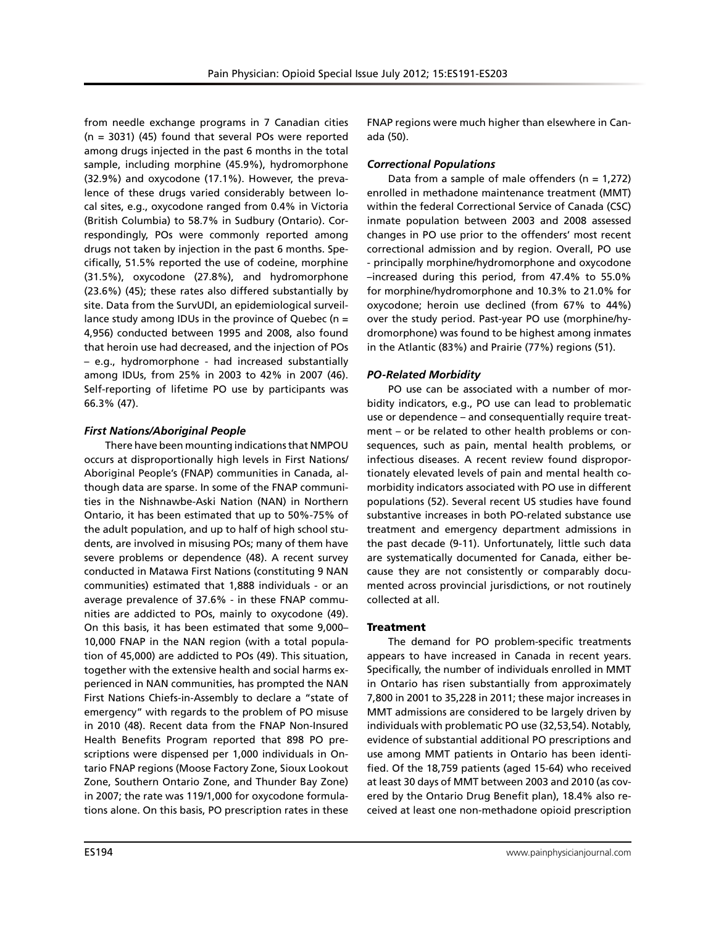from needle exchange programs in 7 Canadian cities (n = 3031) (45) found that several POs were reported among drugs injected in the past 6 months in the total sample, including morphine (45.9%), hydromorphone (32.9%) and oxycodone (17.1%). However, the prevalence of these drugs varied considerably between local sites, e.g., oxycodone ranged from 0.4% in Victoria (British Columbia) to 58.7% in Sudbury (Ontario). Correspondingly, POs were commonly reported among drugs not taken by injection in the past 6 months. Specifically, 51.5% reported the use of codeine, morphine (31.5%), oxycodone (27.8%), and hydromorphone (23.6%) (45); these rates also differed substantially by site. Data from the SurvUDI, an epidemiological surveillance study among IDUs in the province of Quebec ( $n =$ 4,956) conducted between 1995 and 2008, also found that heroin use had decreased, and the injection of POs – e.g., hydromorphone - had increased substantially among IDUs, from 25% in 2003 to 42% in 2007 (46). Self-reporting of lifetime PO use by participants was 66.3% (47).

# *First Nations/Aboriginal People*

There have been mounting indications that NMPOU occurs at disproportionally high levels in First Nations/ Aboriginal People's (FNAP) communities in Canada, although data are sparse. In some of the FNAP communities in the Nishnawbe-Aski Nation (NAN) in Northern Ontario, it has been estimated that up to 50%-75% of the adult population, and up to half of high school students, are involved in misusing POs; many of them have severe problems or dependence (48). A recent survey conducted in Matawa First Nations (constituting 9 NAN communities) estimated that 1,888 individuals - or an average prevalence of 37.6% - in these FNAP communities are addicted to POs, mainly to oxycodone (49). On this basis, it has been estimated that some 9,000– 10,000 FNAP in the NAN region (with a total population of 45,000) are addicted to POs (49). This situation, together with the extensive health and social harms experienced in NAN communities, has prompted the NAN First Nations Chiefs-in-Assembly to declare a "state of emergency" with regards to the problem of PO misuse in 2010 (48). Recent data from the FNAP Non-Insured Health Benefits Program reported that 898 PO prescriptions were dispensed per 1,000 individuals in Ontario FNAP regions (Moose Factory Zone, Sioux Lookout Zone, Southern Ontario Zone, and Thunder Bay Zone) in 2007; the rate was 119/1,000 for oxycodone formulations alone. On this basis, PO prescription rates in these

FNAP regions were much higher than elsewhere in Canada (50).

# *Correctional Populations*

Data from a sample of male offenders ( $n = 1,272$ ) enrolled in methadone maintenance treatment (MMT) within the federal Correctional Service of Canada (CSC) inmate population between 2003 and 2008 assessed changes in PO use prior to the offenders' most recent correctional admission and by region. Overall, PO use - principally morphine/hydromorphone and oxycodone –increased during this period, from 47.4% to 55.0% for morphine/hydromorphone and 10.3% to 21.0% for oxycodone; heroin use declined (from 67% to 44%) over the study period. Past-year PO use (morphine/hydromorphone) was found to be highest among inmates in the Atlantic (83%) and Prairie (77%) regions (51).

# *PO-Related Morbidity*

PO use can be associated with a number of morbidity indicators, e.g., PO use can lead to problematic use or dependence – and consequentially require treatment – or be related to other health problems or consequences, such as pain, mental health problems, or infectious diseases. A recent review found disproportionately elevated levels of pain and mental health comorbidity indicators associated with PO use in different populations (52). Several recent US studies have found substantive increases in both PO-related substance use treatment and emergency department admissions in the past decade (9-11). Unfortunately, little such data are systematically documented for Canada, either because they are not consistently or comparably documented across provincial jurisdictions, or not routinely collected at all.

# Treatment

The demand for PO problem-specific treatments appears to have increased in Canada in recent years. Specifically, the number of individuals enrolled in MMT in Ontario has risen substantially from approximately 7,800 in 2001 to 35,228 in 2011; these major increases in MMT admissions are considered to be largely driven by individuals with problematic PO use (32,53,54). Notably, evidence of substantial additional PO prescriptions and use among MMT patients in Ontario has been identified. Of the 18,759 patients (aged 15-64) who received at least 30 days of MMT between 2003 and 2010 (as covered by the Ontario Drug Benefit plan), 18.4% also received at least one non-methadone opioid prescription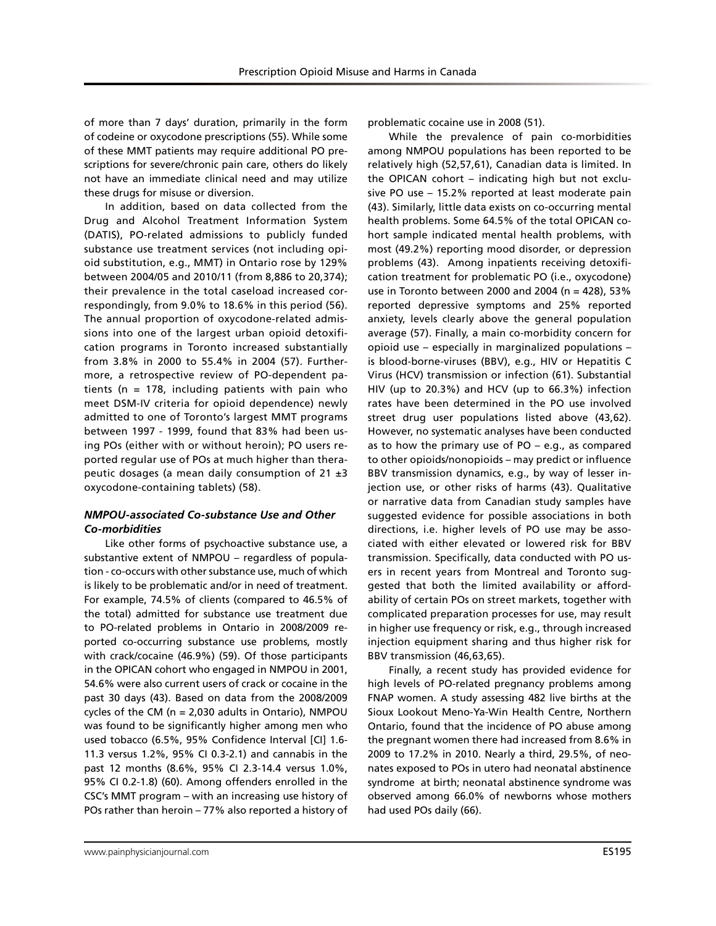of more than 7 days' duration, primarily in the form of codeine or oxycodone prescriptions (55). While some of these MMT patients may require additional PO prescriptions for severe/chronic pain care, others do likely not have an immediate clinical need and may utilize these drugs for misuse or diversion.

In addition, based on data collected from the Drug and Alcohol Treatment Information System (DATIS), PO-related admissions to publicly funded substance use treatment services (not including opioid substitution, e.g., MMT) in Ontario rose by 129% between 2004/05 and 2010/11 (from 8,886 to 20,374); their prevalence in the total caseload increased correspondingly, from 9.0% to 18.6% in this period (56). The annual proportion of oxycodone-related admissions into one of the largest urban opioid detoxification programs in Toronto increased substantially from 3.8% in 2000 to 55.4% in 2004 (57). Furthermore, a retrospective review of PO-dependent patients ( $n = 178$ , including patients with pain who meet DSM-IV criteria for opioid dependence) newly admitted to one of Toronto's largest MMT programs between 1997 - 1999, found that 83% had been using POs (either with or without heroin); PO users reported regular use of POs at much higher than therapeutic dosages (a mean daily consumption of  $21 \pm 3$ oxycodone-containing tablets) (58).

# *NMPOU-associated Co-substance Use and Other Co-morbidities*

Like other forms of psychoactive substance use, a substantive extent of NMPOU – regardless of population - co-occurs with other substance use, much of which is likely to be problematic and/or in need of treatment. For example, 74.5% of clients (compared to 46.5% of the total) admitted for substance use treatment due to PO-related problems in Ontario in 2008/2009 reported co-occurring substance use problems, mostly with crack/cocaine (46.9%) (59). Of those participants in the OPICAN cohort who engaged in NMPOU in 2001, 54.6% were also current users of crack or cocaine in the past 30 days (43). Based on data from the 2008/2009 cycles of the CM ( $n = 2,030$  adults in Ontario), NMPOU was found to be significantly higher among men who used tobacco (6.5%, 95% Confidence Interval [CI] 1.6- 11.3 versus 1.2%, 95% CI 0.3-2.1) and cannabis in the past 12 months (8.6%, 95% CI 2.3-14.4 versus 1.0%, 95% CI 0.2-1.8) (60). Among offenders enrolled in the CSC's MMT program – with an increasing use history of POs rather than heroin – 77% also reported a history of

problematic cocaine use in 2008 (51).

While the prevalence of pain co-morbidities among NMPOU populations has been reported to be relatively high (52,57,61), Canadian data is limited. In the OPICAN cohort – indicating high but not exclusive PO use – 15.2% reported at least moderate pain (43). Similarly, little data exists on co-occurring mental health problems. Some 64.5% of the total OPICAN cohort sample indicated mental health problems, with most (49.2%) reporting mood disorder, or depression problems (43). Among inpatients receiving detoxification treatment for problematic PO (i.e., oxycodone) use in Toronto between 2000 and 2004 (n = 428), 53% reported depressive symptoms and 25% reported anxiety, levels clearly above the general population average (57). Finally, a main co-morbidity concern for opioid use – especially in marginalized populations – is blood-borne-viruses (BBV), e.g., HIV or Hepatitis C Virus (HCV) transmission or infection (61). Substantial HIV (up to 20.3%) and HCV (up to 66.3%) infection rates have been determined in the PO use involved street drug user populations listed above (43,62). However, no systematic analyses have been conducted as to how the primary use of PO – e.g., as compared to other opioids/nonopioids – may predict or influence BBV transmission dynamics, e.g., by way of lesser injection use, or other risks of harms (43). Qualitative or narrative data from Canadian study samples have suggested evidence for possible associations in both directions, i.e. higher levels of PO use may be associated with either elevated or lowered risk for BBV transmission. Specifically, data conducted with PO users in recent years from Montreal and Toronto suggested that both the limited availability or affordability of certain POs on street markets, together with complicated preparation processes for use, may result in higher use frequency or risk, e.g., through increased injection equipment sharing and thus higher risk for BBV transmission (46,63,65).

Finally, a recent study has provided evidence for high levels of PO-related pregnancy problems among FNAP women. A study assessing 482 live births at the Sioux Lookout Meno-Ya-Win Health Centre, Northern Ontario, found that the incidence of PO abuse among the pregnant women there had increased from 8.6% in 2009 to 17.2% in 2010. Nearly a third, 29.5%, of neonates exposed to POs in utero had neonatal abstinence syndrome at birth; neonatal abstinence syndrome was observed among 66.0% of newborns whose mothers had used POs daily (66).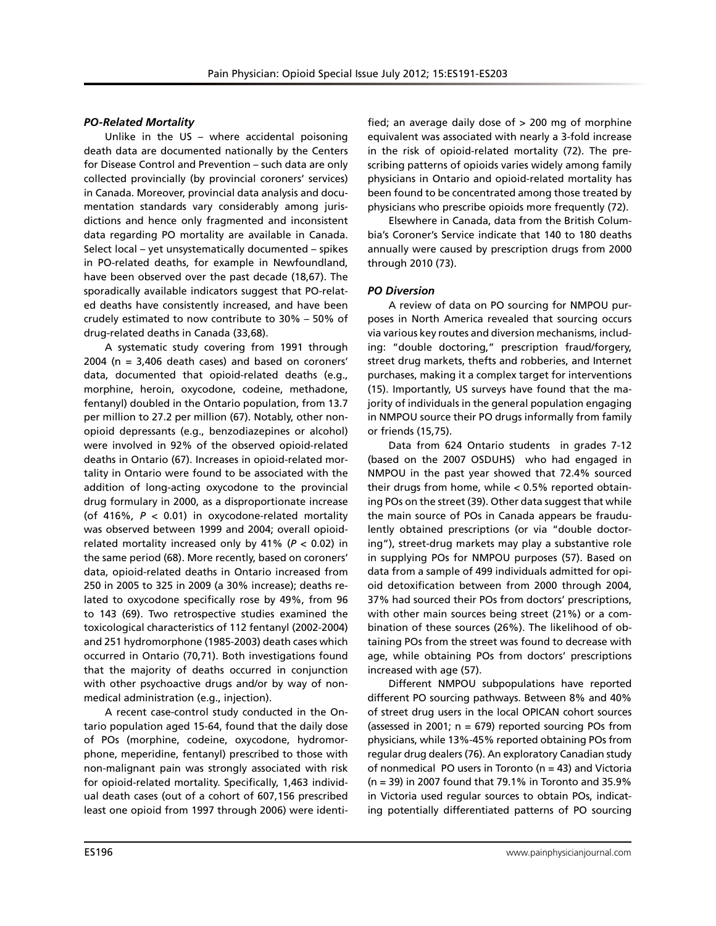## *PO-Related Mortality*

Unlike in the US – where accidental poisoning death data are documented nationally by the Centers for Disease Control and Prevention – such data are only collected provincially (by provincial coroners' services) in Canada. Moreover, provincial data analysis and documentation standards vary considerably among jurisdictions and hence only fragmented and inconsistent data regarding PO mortality are available in Canada. Select local – yet unsystematically documented – spikes in PO-related deaths, for example in Newfoundland, have been observed over the past decade (18,67). The sporadically available indicators suggest that PO-related deaths have consistently increased, and have been crudely estimated to now contribute to 30% – 50% of drug-related deaths in Canada (33,68).

A systematic study covering from 1991 through 2004 (n = 3,406 death cases) and based on coroners' data, documented that opioid-related deaths (e.g., morphine, heroin, oxycodone, codeine, methadone, fentanyl) doubled in the Ontario population, from 13.7 per million to 27.2 per million (67). Notably, other nonopioid depressants (e.g., benzodiazepines or alcohol) were involved in 92% of the observed opioid-related deaths in Ontario (67). Increases in opioid-related mortality in Ontario were found to be associated with the addition of long-acting oxycodone to the provincial drug formulary in 2000, as a disproportionate increase (of 416%, *P* < 0.01) in oxycodone-related mortality was observed between 1999 and 2004; overall opioidrelated mortality increased only by 41% (*P* < 0.02) in the same period (68). More recently, based on coroners' data, opioid-related deaths in Ontario increased from 250 in 2005 to 325 in 2009 (a 30% increase); deaths related to oxycodone specifically rose by 49%, from 96 to 143 (69). Two retrospective studies examined the toxicological characteristics of 112 fentanyl (2002-2004) and 251 hydromorphone (1985-2003) death cases which occurred in Ontario (70,71). Both investigations found that the majority of deaths occurred in conjunction with other psychoactive drugs and/or by way of nonmedical administration (e.g., injection).

A recent case-control study conducted in the Ontario population aged 15-64, found that the daily dose of POs (morphine, codeine, oxycodone, hydromorphone, meperidine, fentanyl) prescribed to those with non-malignant pain was strongly associated with risk for opioid-related mortality. Specifically, 1,463 individual death cases (out of a cohort of 607,156 prescribed least one opioid from 1997 through 2006) were identified; an average daily dose of  $> 200$  mg of morphine equivalent was associated with nearly a 3-fold increase in the risk of opioid-related mortality (72). The prescribing patterns of opioids varies widely among family physicians in Ontario and opioid-related mortality has been found to be concentrated among those treated by physicians who prescribe opioids more frequently (72).

Elsewhere in Canada, data from the British Columbia's Coroner's Service indicate that 140 to 180 deaths annually were caused by prescription drugs from 2000 through 2010 (73).

#### *PO Diversion*

A review of data on PO sourcing for NMPOU purposes in North America revealed that sourcing occurs via various key routes and diversion mechanisms, including: "double doctoring," prescription fraud/forgery, street drug markets, thefts and robberies, and Internet purchases, making it a complex target for interventions (15). Importantly, US surveys have found that the majority of individuals in the general population engaging in NMPOU source their PO drugs informally from family or friends (15,75).

Data from 624 Ontario students in grades 7-12 (based on the 2007 OSDUHS) who had engaged in NMPOU in the past year showed that 72.4% sourced their drugs from home, while < 0.5% reported obtaining POs on the street (39). Other data suggest that while the main source of POs in Canada appears be fraudulently obtained prescriptions (or via "double doctoring"), street-drug markets may play a substantive role in supplying POs for NMPOU purposes (57). Based on data from a sample of 499 individuals admitted for opioid detoxification between from 2000 through 2004, 37% had sourced their POs from doctors' prescriptions, with other main sources being street (21%) or a combination of these sources (26%). The likelihood of obtaining POs from the street was found to decrease with age, while obtaining POs from doctors' prescriptions increased with age (57).

Different NMPOU subpopulations have reported different PO sourcing pathways. Between 8% and 40% of street drug users in the local OPICAN cohort sources (assessed in 2001;  $n = 679$ ) reported sourcing POs from physicians, while 13%-45% reported obtaining POs from regular drug dealers (76). An exploratory Canadian study of nonmedical PO users in Toronto ( $n = 43$ ) and Victoria (n = 39) in 2007 found that 79.1% in Toronto and 35.9% in Victoria used regular sources to obtain POs, indicating potentially differentiated patterns of PO sourcing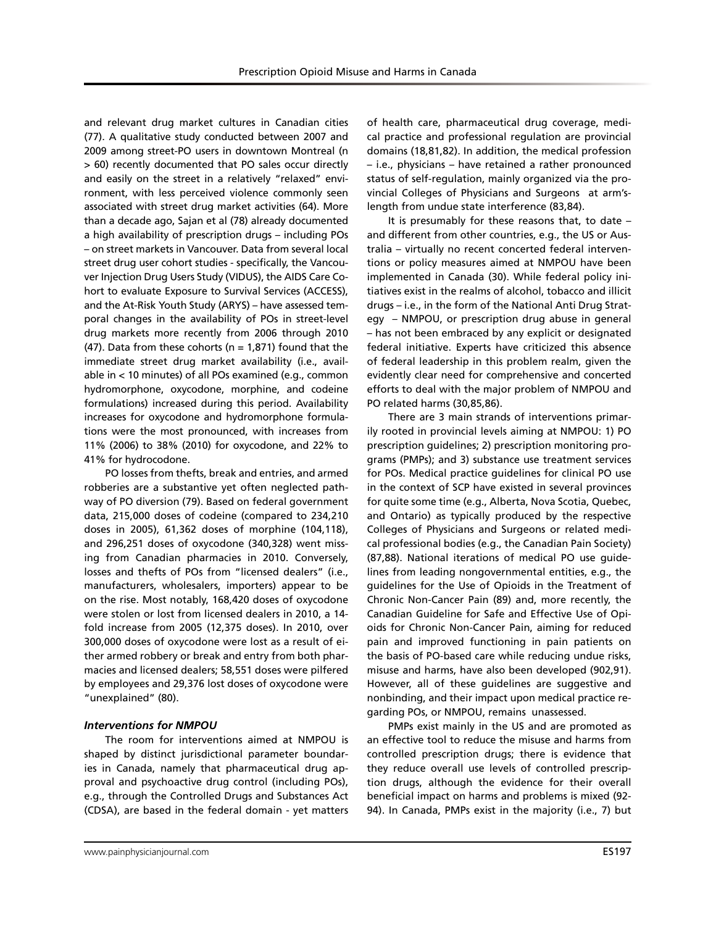and relevant drug market cultures in Canadian cities (77). A qualitative study conducted between 2007 and 2009 among street-PO users in downtown Montreal (n > 60) recently documented that PO sales occur directly and easily on the street in a relatively "relaxed" environment, with less perceived violence commonly seen associated with street drug market activities (64). More than a decade ago, Sajan et al (78) already documented a high availability of prescription drugs – including POs – on street markets in Vancouver. Data from several local street drug user cohort studies - specifically, the Vancouver Injection Drug Users Study (VIDUS), the AIDS Care Cohort to evaluate Exposure to Survival Services (ACCESS), and the At-Risk Youth Study (ARYS) – have assessed temporal changes in the availability of POs in street-level drug markets more recently from 2006 through 2010 (47). Data from these cohorts ( $n = 1,871$ ) found that the immediate street drug market availability (i.e., available in < 10 minutes) of all POs examined (e.g., common hydromorphone, oxycodone, morphine, and codeine formulations) increased during this period. Availability increases for oxycodone and hydromorphone formulations were the most pronounced, with increases from 11% (2006) to 38% (2010) for oxycodone, and 22% to 41% for hydrocodone.

PO losses from thefts, break and entries, and armed robberies are a substantive yet often neglected pathway of PO diversion (79). Based on federal government data, 215,000 doses of codeine (compared to 234,210 doses in 2005), 61,362 doses of morphine (104,118), and 296,251 doses of oxycodone (340,328) went missing from Canadian pharmacies in 2010. Conversely, losses and thefts of POs from "licensed dealers" (i.e., manufacturers, wholesalers, importers) appear to be on the rise. Most notably, 168,420 doses of oxycodone were stolen or lost from licensed dealers in 2010, a 14 fold increase from 2005 (12,375 doses). In 2010, over 300,000 doses of oxycodone were lost as a result of either armed robbery or break and entry from both pharmacies and licensed dealers; 58,551 doses were pilfered by employees and 29,376 lost doses of oxycodone were "unexplained" (80).

#### *Interventions for NMPOU*

The room for interventions aimed at NMPOU is shaped by distinct jurisdictional parameter boundaries in Canada, namely that pharmaceutical drug approval and psychoactive drug control (including POs), e.g., through the Controlled Drugs and Substances Act (CDSA), are based in the federal domain - yet matters

of health care, pharmaceutical drug coverage, medical practice and professional regulation are provincial domains (18,81,82). In addition, the medical profession – i.e., physicians – have retained a rather pronounced status of self-regulation, mainly organized via the provincial Colleges of Physicians and Surgeons at arm'slength from undue state interference (83,84).

It is presumably for these reasons that, to date – and different from other countries, e.g., the US or Australia – virtually no recent concerted federal interventions or policy measures aimed at NMPOU have been implemented in Canada (30). While federal policy initiatives exist in the realms of alcohol, tobacco and illicit drugs – i.e., in the form of the National Anti Drug Strategy – NMPOU, or prescription drug abuse in general – has not been embraced by any explicit or designated federal initiative. Experts have criticized this absence of federal leadership in this problem realm, given the evidently clear need for comprehensive and concerted efforts to deal with the major problem of NMPOU and PO related harms (30,85,86).

There are 3 main strands of interventions primarily rooted in provincial levels aiming at NMPOU: 1) PO prescription guidelines; 2) prescription monitoring programs (PMPs); and 3) substance use treatment services for POs. Medical practice guidelines for clinical PO use in the context of SCP have existed in several provinces for quite some time (e.g., Alberta, Nova Scotia, Quebec, and Ontario) as typically produced by the respective Colleges of Physicians and Surgeons or related medical professional bodies (e.g., the Canadian Pain Society) (87,88). National iterations of medical PO use guidelines from leading nongovernmental entities, e.g., the guidelines for the Use of Opioids in the Treatment of Chronic Non-Cancer Pain (89) and, more recently, the Canadian Guideline for Safe and Effective Use of Opioids for Chronic Non-Cancer Pain, aiming for reduced pain and improved functioning in pain patients on the basis of PO-based care while reducing undue risks, misuse and harms, have also been developed (902,91). However, all of these guidelines are suggestive and nonbinding, and their impact upon medical practice regarding POs, or NMPOU, remains unassessed.

PMPs exist mainly in the US and are promoted as an effective tool to reduce the misuse and harms from controlled prescription drugs; there is evidence that they reduce overall use levels of controlled prescription drugs, although the evidence for their overall beneficial impact on harms and problems is mixed (92- 94). In Canada, PMPs exist in the majority (i.e., 7) but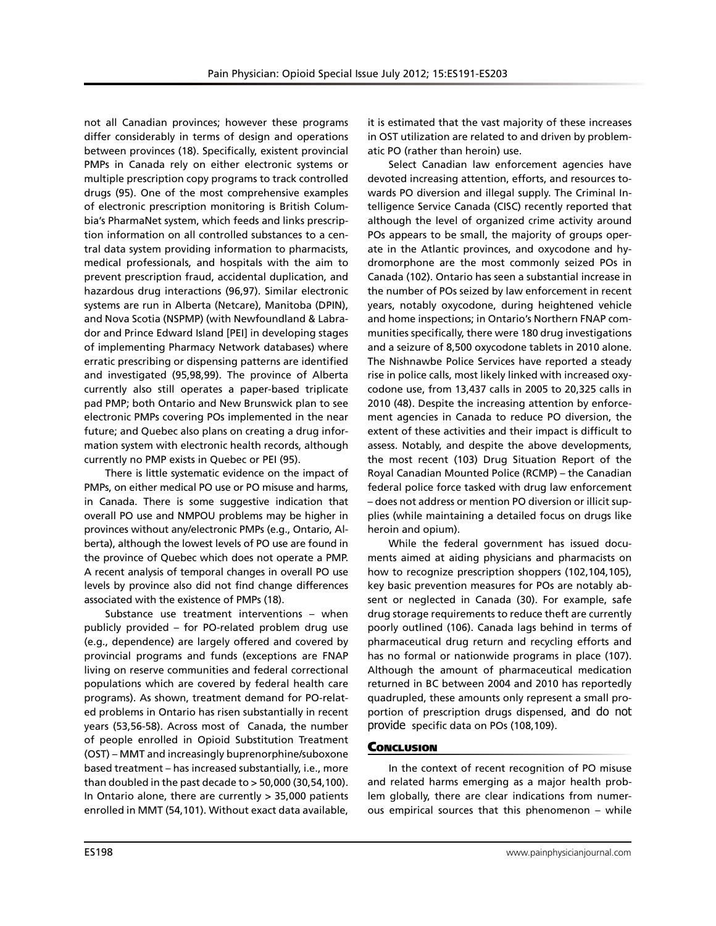not all Canadian provinces; however these programs differ considerably in terms of design and operations between provinces (18). Specifically, existent provincial PMPs in Canada rely on either electronic systems or multiple prescription copy programs to track controlled drugs (95). One of the most comprehensive examples of electronic prescription monitoring is British Columbia's PharmaNet system, which feeds and links prescription information on all controlled substances to a central data system providing information to pharmacists, medical professionals, and hospitals with the aim to prevent prescription fraud, accidental duplication, and hazardous drug interactions (96,97). Similar electronic systems are run in Alberta (Netcare), Manitoba (DPIN), and Nova Scotia (NSPMP) (with Newfoundland & Labrador and Prince Edward Island [PEI] in developing stages of implementing Pharmacy Network databases) where erratic prescribing or dispensing patterns are identified and investigated (95,98,99). The province of Alberta currently also still operates a paper-based triplicate pad PMP; both Ontario and New Brunswick plan to see electronic PMPs covering POs implemented in the near future; and Quebec also plans on creating a drug information system with electronic health records, although currently no PMP exists in Quebec or PEI (95).

There is little systematic evidence on the impact of PMPs, on either medical PO use or PO misuse and harms, in Canada. There is some suggestive indication that overall PO use and NMPOU problems may be higher in provinces without any/electronic PMPs (e.g., Ontario, Alberta), although the lowest levels of PO use are found in the province of Quebec which does not operate a PMP. A recent analysis of temporal changes in overall PO use levels by province also did not find change differences associated with the existence of PMPs (18).

Substance use treatment interventions – when publicly provided – for PO-related problem drug use (e.g., dependence) are largely offered and covered by provincial programs and funds (exceptions are FNAP living on reserve communities and federal correctional populations which are covered by federal health care programs). As shown, treatment demand for PO-related problems in Ontario has risen substantially in recent years (53,56-58). Across most of Canada, the number of people enrolled in Opioid Substitution Treatment (OST) – MMT and increasingly buprenorphine/suboxone based treatment – has increased substantially, i.e., more than doubled in the past decade to > 50,000 (30,54,100). In Ontario alone, there are currently > 35,000 patients enrolled in MMT (54,101). Without exact data available,

it is estimated that the vast majority of these increases in OST utilization are related to and driven by problematic PO (rather than heroin) use.

Select Canadian law enforcement agencies have devoted increasing attention, efforts, and resources towards PO diversion and illegal supply. The Criminal Intelligence Service Canada (CISC) recently reported that although the level of organized crime activity around POs appears to be small, the majority of groups operate in the Atlantic provinces, and oxycodone and hydromorphone are the most commonly seized POs in Canada (102). Ontario has seen a substantial increase in the number of POs seized by law enforcement in recent years, notably oxycodone, during heightened vehicle and home inspections; in Ontario's Northern FNAP communities specifically, there were 180 drug investigations and a seizure of 8,500 oxycodone tablets in 2010 alone. The Nishnawbe Police Services have reported a steady rise in police calls, most likely linked with increased oxycodone use, from 13,437 calls in 2005 to 20,325 calls in 2010 (48). Despite the increasing attention by enforcement agencies in Canada to reduce PO diversion, the extent of these activities and their impact is difficult to assess. Notably, and despite the above developments, the most recent (103) Drug Situation Report of the Royal Canadian Mounted Police (RCMP) – the Canadian federal police force tasked with drug law enforcement – does not address or mention PO diversion or illicit supplies (while maintaining a detailed focus on drugs like heroin and opium).

While the federal government has issued documents aimed at aiding physicians and pharmacists on how to recognize prescription shoppers (102,104,105), key basic prevention measures for POs are notably absent or neglected in Canada (30). For example, safe drug storage requirements to reduce theft are currently poorly outlined (106). Canada lags behind in terms of pharmaceutical drug return and recycling efforts and has no formal or nationwide programs in place (107). Although the amount of pharmaceutical medication returned in BC between 2004 and 2010 has reportedly quadrupled, these amounts only represent a small proportion of prescription drugs dispensed, and do not provide specific data on POs (108,109).

## **CONCLUSION**

In the context of recent recognition of PO misuse and related harms emerging as a major health problem globally, there are clear indications from numerous empirical sources that this phenomenon – while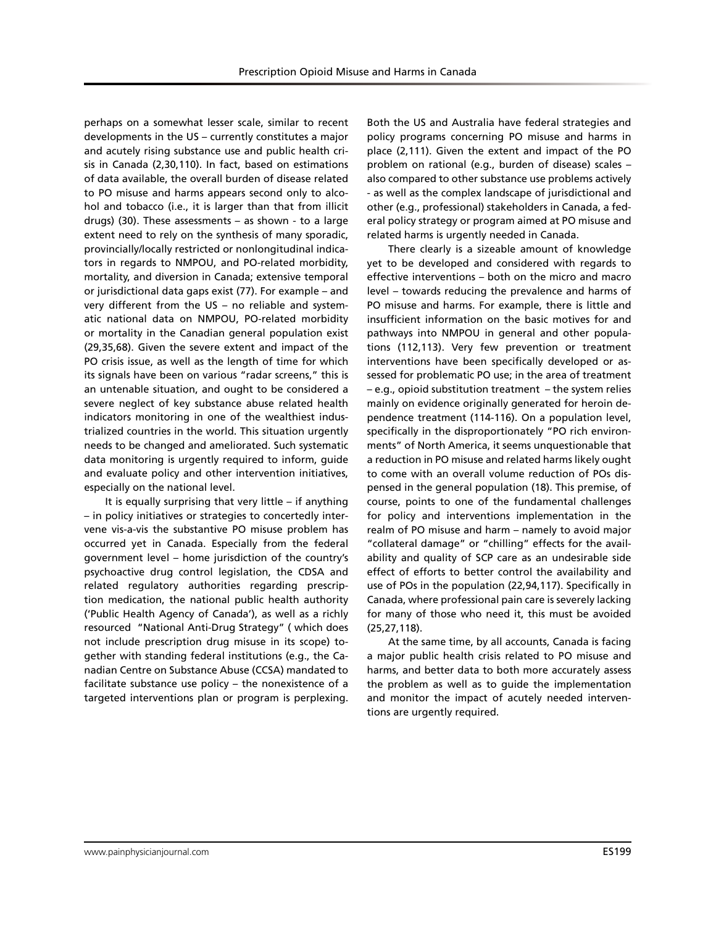perhaps on a somewhat lesser scale, similar to recent developments in the US – currently constitutes a major and acutely rising substance use and public health crisis in Canada (2,30,110). In fact, based on estimations of data available, the overall burden of disease related to PO misuse and harms appears second only to alcohol and tobacco (i.e., it is larger than that from illicit drugs) (30). These assessments – as shown - to a large extent need to rely on the synthesis of many sporadic, provincially/locally restricted or nonlongitudinal indicators in regards to NMPOU, and PO-related morbidity, mortality, and diversion in Canada; extensive temporal or jurisdictional data gaps exist (77). For example – and very different from the US – no reliable and systematic national data on NMPOU, PO-related morbidity or mortality in the Canadian general population exist (29,35,68). Given the severe extent and impact of the PO crisis issue, as well as the length of time for which its signals have been on various "radar screens," this is an untenable situation, and ought to be considered a severe neglect of key substance abuse related health indicators monitoring in one of the wealthiest industrialized countries in the world. This situation urgently needs to be changed and ameliorated. Such systematic data monitoring is urgently required to inform, guide and evaluate policy and other intervention initiatives, especially on the national level.

It is equally surprising that very little – if anything – in policy initiatives or strategies to concertedly intervene vis-a-vis the substantive PO misuse problem has occurred yet in Canada. Especially from the federal government level – home jurisdiction of the country's psychoactive drug control legislation, the CDSA and related regulatory authorities regarding prescription medication, the national public health authority ('Public Health Agency of Canada'), as well as a richly resourced "National Anti-Drug Strategy" ( which does not include prescription drug misuse in its scope) together with standing federal institutions (e.g., the Canadian Centre on Substance Abuse (CCSA) mandated to facilitate substance use policy – the nonexistence of a targeted interventions plan or program is perplexing.

Both the US and Australia have federal strategies and policy programs concerning PO misuse and harms in place (2,111). Given the extent and impact of the PO problem on rational (e.g., burden of disease) scales – also compared to other substance use problems actively - as well as the complex landscape of jurisdictional and other (e.g., professional) stakeholders in Canada, a federal policy strategy or program aimed at PO misuse and related harms is urgently needed in Canada.

There clearly is a sizeable amount of knowledge yet to be developed and considered with regards to effective interventions – both on the micro and macro level – towards reducing the prevalence and harms of PO misuse and harms. For example, there is little and insufficient information on the basic motives for and pathways into NMPOU in general and other populations (112,113). Very few prevention or treatment interventions have been specifically developed or assessed for problematic PO use; in the area of treatment – e.g., opioid substitution treatment – the system relies mainly on evidence originally generated for heroin dependence treatment (114-116). On a population level, specifically in the disproportionately "PO rich environments" of North America, it seems unquestionable that a reduction in PO misuse and related harms likely ought to come with an overall volume reduction of POs dispensed in the general population (18). This premise, of course, points to one of the fundamental challenges for policy and interventions implementation in the realm of PO misuse and harm – namely to avoid major "collateral damage" or "chilling" effects for the availability and quality of SCP care as an undesirable side effect of efforts to better control the availability and use of POs in the population (22,94,117). Specifically in Canada, where professional pain care is severely lacking for many of those who need it, this must be avoided (25,27,118).

At the same time, by all accounts, Canada is facing a major public health crisis related to PO misuse and harms, and better data to both more accurately assess the problem as well as to guide the implementation and monitor the impact of acutely needed interventions are urgently required.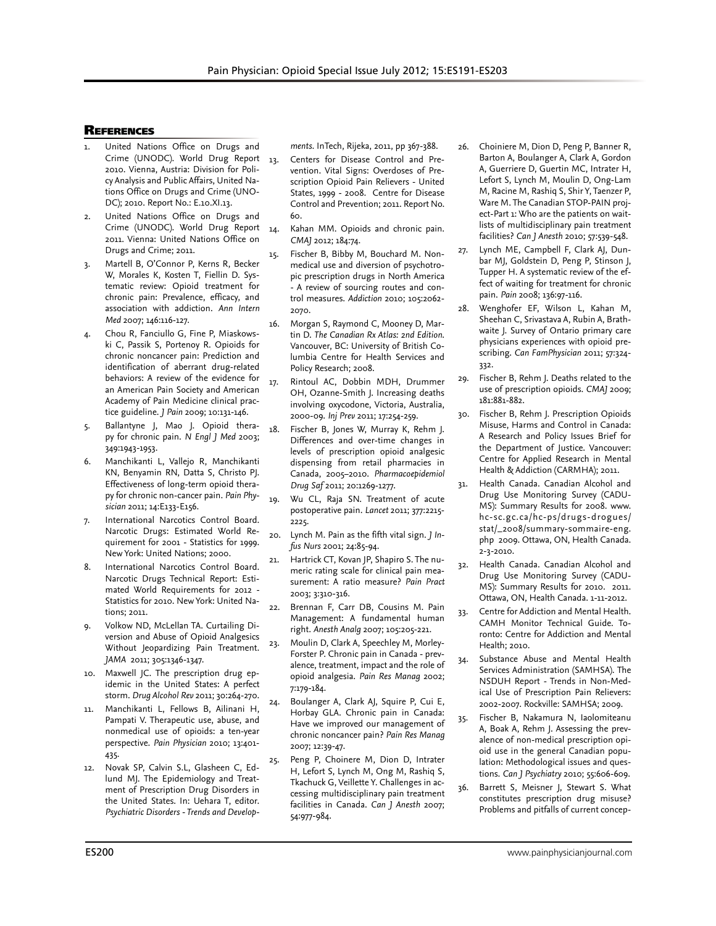## **REFERENCES**

- United Nations Office on Drugs and Crime (UNODC). World Drug Report 13. 2010. Vienna, Austria: Division for Policy Analysis and Public Affairs, United Nations Office on Drugs and Crime (UNO-DC); 2010. Report No.: E.10.XI.13.
- United Nations Office on Drugs and Crime (UNODC). World Drug Report 2011. Vienna: United Nations Office on Drugs and Crime; 2011.
- Martell B, O'Connor P, Kerns R, Becker W, Morales K, Kosten T, Fiellin D. Systematic review: Opioid treatment for chronic pain: Prevalence, efficacy, and association with addiction. *Ann Intern Med* 2007; 146:116-127.
- 4. Chou R, Fanciullo G, Fine P, Miaskowski C, Passik S, Portenoy R. Opioids for chronic noncancer pain: Prediction and identification of aberrant drug-related behaviors: A review of the evidence for an American Pain Society and American Academy of Pain Medicine clinical practice guideline. *J Pain* 2009; 10:131-146.
- 5. Ballantyne J, Mao J. Opioid therapy for chronic pain. *N Engl J Med* 2003; 349:1943-1953.
- 6. Manchikanti L, Vallejo R, Manchikanti KN, Benyamin RN, Datta S, Christo PJ. Effectiveness of long-term opioid therapy for chronic non-cancer pain. *Pain Physician* 2011; 14:E133-E156.
- International Narcotics Control Board. Narcotic Drugs: Estimated World Requirement for 2001 - Statistics for 1999. New York: United Nations; 2000.
- 8. International Narcotics Control Board. Narcotic Drugs Technical Report: Estimated World Requirements for 2012 - Statistics for 2010. New York: United Nations; 2011.
- 9. Volkow ND, McLellan TA. Curtailing Diversion and Abuse of Opioid Analgesics Without Jeopardizing Pain Treatment. *JAMA* 2011; 305:1346-1347.
- 10. Maxwell JC. The prescription drug epidemic in the United States: A perfect storm. *Drug Alcohol Rev* 2011; 30:264-270.
- Manchikanti L, Fellows B, Ailinani H, Pampati V. Therapeutic use, abuse, and nonmedical use of opioids: a ten-year perspective. *Pain Physician* 2010; 13:401- 435.
- 12. Novak SP, Calvin S.L, Glasheen C, Edlund MJ. The Epidemiology and Treatment of Prescription Drug Disorders in the United States. In: Uehara T, editor. *Psychiatric Disorders - Trends and Develop-*

*ments*. InTech, Rijeka, 2011, pp 367-388.

- Centers for Disease Control and Prevention. Vital Signs: Overdoses of Prescription Opioid Pain Relievers - United States, 1999 - 2008. Centre for Disease Control and Prevention; 2011. Report No. 60.
- 14. Kahan MM. Opioids and chronic pain. *CMAJ* 2012; 184:74.
- 15. Fischer B, Bibby M, Bouchard M. Nonmedical use and diversion of psychotropic prescription drugs in North America - A review of sourcing routes and control measures. *Addiction* 2010; 105:2062- 2070.
- 16. Morgan S, Raymond C, Mooney D, Martin D. *The Canadian Rx Atlas: 2nd Edition*. Vancouver, BC: University of British Columbia Centre for Health Services and Policy Research; 2008.
- 17. Rintoul AC, Dobbin MDH, Drummer OH, Ozanne-Smith J. Increasing deaths involving oxycodone, Victoria, Australia, 2000-09. *Inj Prev* 2011; 17:254-259.
- 18. Fischer B, Jones W, Murray K, Rehm J. Differences and over-time changes in levels of prescription opioid analgesic dispensing from retail pharmacies in Canada, 2005−2010. *Pharmacoepidemiol Drug Saf* 2011; 20:1269-1277.
- 19. Wu CL, Raja SN. Treatment of acute postoperative pain. *Lancet* 2011; 377:2215- 2225.
- 20. Lynch M. Pain as the fifth vital sign. *J Infus Nurs* 2001; 24:85-94.
- 21. Hartrick CT, Kovan JP, Shapiro S. The numeric rating scale for clinical pain measurement: A ratio measure? *Pain Pract*  2003; 3:310-316.
- 22. Brennan F, Carr DB, Cousins M. Pain Management: A fundamental human right. *Anesth Analg* 2007; 105:205-221.
- 23. Moulin D, Clark A, Speechley M, Morley-Forster P. Chronic pain in Canada - prevalence, treatment, impact and the role of opioid analgesia. *Pain Res Manag* 2002; 7:179-184.
- 24. Boulanger A, Clark AJ, Squire P, Cui E, Horbay GLA. Chronic pain in Canada: Have we improved our management of chronic noncancer pain? *Pain Res Manag* 2007; 12:39-47.
- 25. Peng P, Choinere M, Dion D, Intrater H, Lefort S, Lynch M, Ong M, Rashiq S, Tkachuck G, Veillette Y. Challenges in accessing multidisciplinary pain treatment facilities in Canada. *Can J Anesth* 2007; 54:977-984.
- 26. Choiniere M, Dion D, Peng P, Banner R, Barton A, Boulanger A, Clark A, Gordon A, Guerriere D, Guertin MC, Intrater H, Lefort S, Lynch M, Moulin D, Ong-Lam M, Racine M, Rashiq S, Shir Y, Taenzer P, Ware M. The Canadian STOP-PAIN project-Part 1: Who are the patients on waitlists of multidisciplinary pain treatment facilities? *Can J Anesth* 2010; 57:539-548.
- 27. Lynch ME, Campbell F, Clark AJ, Dunbar MJ, Goldstein D, Peng P, Stinson J, Tupper H. A systematic review of the effect of waiting for treatment for chronic pain. *Pain* 2008; 136:97-116.
- 28. Wenghofer EF, Wilson L, Kahan M, Sheehan C, Srivastava A, Rubin A, Brathwaite J. Survey of Ontario primary care physicians experiences with opioid prescribing. *Can FamPhysician* 2011; 57:324- 332.
- 29. Fischer B, Rehm J. Deaths related to the use of prescription opioids. *CMAJ* 2009; 181:881-882.
- 30. Fischer B, Rehm J. Prescription Opioids Misuse, Harms and Control in Canada: A Research and Policy Issues Brief for the Department of Justice. Vancouver: Centre for Applied Research in Mental Health & Addiction (CARMHA); 2011.
- 31. Health Canada. Canadian Alcohol and Drug Use Monitoring Survey (CADU-MS): Summary Results for 2008. www. hc-sc.gc.ca/hc-ps/drugs-drogues/ stat/\_2008/summary-sommaire-eng. php 2009. Ottawa, ON, Health Canada. 2-3-2010.
- 32. Health Canada. Canadian Alcohol and Drug Use Monitoring Survey (CADU-MS): Summary Results for 2010. 2011. Ottawa, ON, Health Canada. 1-11-2012.
- 33. Centre for Addiction and Mental Health. CAMH Monitor Technical Guide. Toronto: Centre for Addiction and Mental Health; 2010.
- 34. Substance Abuse and Mental Health Services Administration (SAMHSA). The NSDUH Report - Trends in Non-Medical Use of Prescription Pain Relievers: 2002-2007. Rockville: SAMHSA; 2009.
- 35. Fischer B, Nakamura N, Iaolomiteanu A, Boak A, Rehm J. Assessing the prevalence of non-medical prescription opioid use in the general Canadian population: Methodological issues and questions. *Can J Psychiatry* 2010; 55:606-609.
- 36. Barrett S, Meisner J, Stewart S. What constitutes prescription drug misuse? Problems and pitfalls of current concep-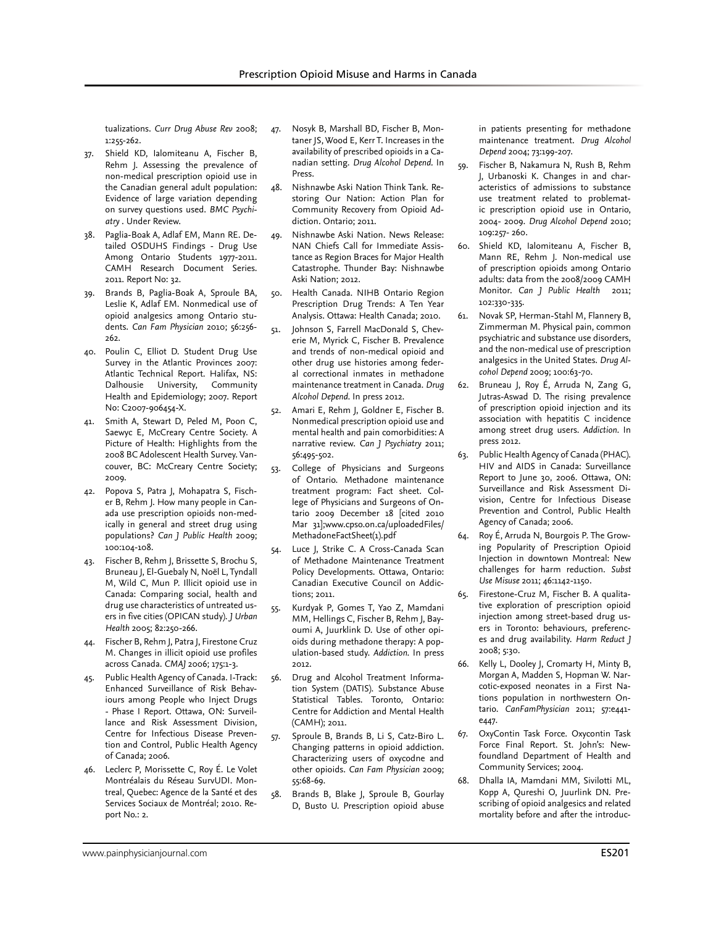tualizations. *Curr Drug Abuse Rev* 2008; 1:255-262.

- 37. Shield KD, Ialomiteanu A, Fischer B, Rehm J. Assessing the prevalence of non-medical prescription opioid use in the Canadian general adult population: Evidence of large variation depending on survey questions used. *BMC Psychiatry* . Under Review.
- 38. Paglia-Boak A, Adlaf EM, Mann RE. Detailed OSDUHS Findings - Drug Use Among Ontario Students 1977-2011. CAMH Research Document Series. 2011. Report No: 32.
- 39. Brands B, Paglia-Boak A, Sproule BA, Leslie K, Adlaf EM. Nonmedical use of opioid analgesics among Ontario students. *Can Fam Physician* 2010; 56:256- 262.
- 40. Poulin C, Elliot D. Student Drug Use Survey in the Atlantic Provinces 2007: Atlantic Technical Report. Halifax, NS: Dalhousie University, Community Health and Epidemiology; 2007. Report No: C2007-906454-X.
- 41. Smith A, Stewart D, Peled M, Poon C, Saewyc E, McCreary Centre Society. A Picture of Health: Highlights from the 2008 BC Adolescent Health Survey. Vancouver, BC: McCreary Centre Society; 2009.
- 42. Popova S, Patra J, Mohapatra S, Fischer B, Rehm J. How many people in Canada use prescription opioids non-medically in general and street drug using populations? *Can J Public Health* 2009; 100:104-108.
- 43. Fischer B, Rehm J, Brissette S, Brochu S, Bruneau J, El-Guebaly N, Noël L, Tyndall M, Wild C, Mun P. Illicit opioid use in Canada: Comparing social, health and drug use characteristics of untreated users in five cities (OPICAN study). *J Urban Health* 2005; 82:250-266.
- 44. Fischer B, Rehm J, Patra J, Firestone Cruz M. Changes in illicit opioid use profiles across Canada. *CMAJ* 2006; 175:1-3.
- Public Health Agency of Canada. I-Track: Enhanced Surveillance of Risk Behaviours among People who Inject Drugs - Phase I Report. Ottawa, ON: Surveillance and Risk Assessment Division, Centre for Infectious Disease Prevention and Control, Public Health Agency of Canada; 2006.
- 46. Leclerc P, Morissette C, Roy É. Le Volet Montréalais du Réseau SurvUDI. Montreal, Quebec: Agence de la Santé et des Services Sociaux de Montréal; 2010. Report No.: 2.
- 47. Nosyk B, Marshall BD, Fischer B, Montaner JS, Wood E, Kerr T. Increases in the availability of prescribed opioids in a Canadian setting. *Drug Alcohol Depend.* In Press.
- 48. Nishnawbe Aski Nation Think Tank. Restoring Our Nation: Action Plan for Community Recovery from Opioid Addiction. Ontario; 2011.
- 49. Nishnawbe Aski Nation. News Release: NAN Chiefs Call for Immediate Assistance as Region Braces for Major Health Catastrophe. Thunder Bay: Nishnawbe Aski Nation; 2012.
- 50. Health Canada. NIHB Ontario Region Prescription Drug Trends: A Ten Year Analysis. Ottawa: Health Canada; 2010.
- Johnson S, Farrell MacDonald S, Cheverie M, Myrick C, Fischer B. Prevalence and trends of non-medical opioid and other drug use histories among federal correctional inmates in methadone maintenance treatment in Canada. *Drug Alcohol Depend*. In press 2012.
- 52. Amari E, Rehm J, Goldner E, Fischer B. Nonmedical prescription opioid use and mental health and pain comorbidities: A narrative review. *Can J Psychiatry* 2011; 56:495-502.
- 53. College of Physicians and Surgeons of Ontario. Methadone maintenance treatment program: Fact sheet. College of Physicians and Surgeons of Ontario 2009 December 18 [cited 2010 Mar 31];www.cpso.on.ca/uploadedFiles/ MethadoneFactSheet(1).pdf
- 54. Luce J, Strike C. A Cross-Canada Scan of Methadone Maintenance Treatment Policy Developments. Ottawa, Ontario: Canadian Executive Council on Addictions; 2011.
- 55. Kurdyak P, Gomes T, Yao Z, Mamdani MM, Hellings C, Fischer B, Rehm J, Bayoumi A, Juurklink D. Use of other opioids during methadone therapy: A population-based study. *Addiction*. In press 2012.
- 56. Drug and Alcohol Treatment Information System (DATIS). Substance Abuse Statistical Tables. Toronto, Ontario: Centre for Addiction and Mental Health (CAMH); 2011.
- Sproule B, Brands B, Li S, Catz-Biro L. Changing patterns in opioid addiction. Characterizing users of oxycodne and other opioids. *Can Fam Physician* 2009; 55:68-69.
- 58. Brands B, Blake J, Sproule B, Gourlay D, Busto U. Prescription opioid abuse

in patients presenting for methadone maintenance treatment. *Drug Alcohol Depend* 2004; 73:199-207.

- 59. Fischer B, Nakamura N, Rush B, Rehm J, Urbanoski K. Changes in and characteristics of admissions to substance use treatment related to problematic prescription opioid use in Ontario, 2004- 2009. *Drug Alcohol Depend* 2010; 109:257- 260.
- 60. Shield KD, Ialomiteanu A, Fischer B, Mann RE, Rehm J. Non-medical use of prescription opioids among Ontario adults: data from the 2008/2009 CAMH Monitor. *Can J Public Health* 2011; 102:330-335.
- 61. Novak SP, Herman-Stahl M, Flannery B, Zimmerman M. Physical pain, common psychiatric and substance use disorders, and the non-medical use of prescription analgesics in the United States. *Drug Alcohol Depend* 2009; 100:63-70.
- Bruneau J, Roy É, Arruda N, Zang G, Jutras-Aswad D. The rising prevalence of prescription opioid injection and its association with hepatitis C incidence among street drug users. *Addiction*. In press 2012.
- 63. Public Health Agency of Canada (PHAC). HIV and AIDS in Canada: Surveillance Report to June 30, 2006. Ottawa, ON: Surveillance and Risk Assessment Division, Centre for Infectious Disease Prevention and Control, Public Health Agency of Canada; 2006.
- 64. Roy É, Arruda N, Bourgois P. The Growing Popularity of Prescription Opioid Injection in downtown Montreal: New challenges for harm reduction. *Subst Use Misuse* 2011; 46:1142-1150.
- 65. Firestone-Cruz M, Fischer B. A qualitative exploration of prescription opioid injection among street-based drug users in Toronto: behaviours, preferences and drug availability. *Harm Reduct J*  2008; 5:30.
- 66. Kelly L, Dooley J, Cromarty H, Minty B, Morgan A, Madden S, Hopman W. Narcotic-exposed neonates in a First Nations population in northwestern Ontario. *CanFamPhysician* 2011; 57:e441 e447.
- 67. OxyContin Task Force. Oxycontin Task Force Final Report. St. John's: Newfoundland Department of Health and Community Services; 2004.
- 68. Dhalla IA, Mamdani MM, Sivilotti ML, Kopp A, Qureshi O, Juurlink DN. Prescribing of opioid analgesics and related mortality before and after the introduc-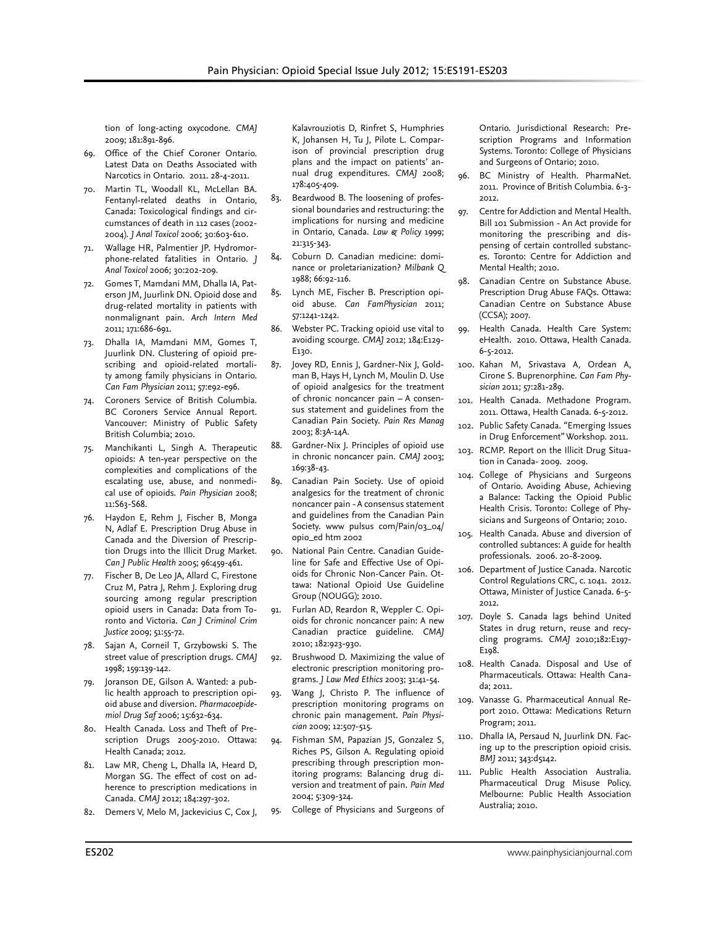tion of long-acting oxycodone. *CMAJ* 2009; 181:891-896.

- 69. Office of the Chief Coroner Ontario. Latest Data on Deaths Associated with Narcotics in Ontario. 2011. 28-4-2011.
- 70. Martin TL, Woodall KL, McLellan BA. Fentanyl-related deaths in Ontario, Canada: Toxicological findings and circumstances of death in 112 cases (2002- 2004). *J Anal Toxicol* 2006; 30:603-610.
- 71. Wallage HR, Palmentier JP. Hydromorphone-related fatalities in Ontario. *J Anal Toxicol* 2006; 30:202-209.
- 72. Gomes T, Mamdani MM, Dhalla IA, Paterson JM, Juurlink DN. Opioid dose and drug-related mortality in patients with nonmalignant pain. *Arch Intern Med*  2011; 171:686-691.
- 73. Dhalla IA, Mamdani MM, Gomes T, Juurlink DN. Clustering of opioid prescribing and opioid-related mortality among family physicians in Ontario. *Can Fam Physician* 2011; 57:e92-e96.
- 74. Coroners Service of British Columbia. BC Coroners Service Annual Report. Vancouver: Ministry of Public Safety British Columbia; 2010.
- 75. Manchikanti L, Singh A. Therapeutic opioids: A ten-year perspective on the complexities and complications of the escalating use, abuse, and nonmedical use of opioids. *Pain Physician* 2008; 11:S63-S68.
- 76. Haydon E, Rehm J, Fischer B, Monga N, Adlaf E. Prescription Drug Abuse in Canada and the Diversion of Prescription Drugs into the Illicit Drug Market. *Can J Public Health* 2005; 96:459-461.
- 77. Fischer B, De Leo JA, Allard C, Firestone Cruz M, Patra J, Rehm J. Exploring drug sourcing among regular prescription opioid users in Canada: Data from Toronto and Victoria. *Can J Criminol Crim Justice* 2009; 51:55-72.
- 78. Sajan A, Corneil T, Grzybowski S. The street value of prescription drugs. *CMAJ* 1998; 159:139-142.
- 79. Joranson DE, Gilson A. Wanted: a public health approach to prescription opioid abuse and diversion. *Pharmacoepidemiol Drug Saf* 2006; 15:632-634.
- 80. Health Canada. Loss and Theft of Prescription Drugs 2005-2010. Ottawa: Health Canada; 2012.
- 81. Law MR, Cheng L, Dhalla IA, Heard D, Morgan SG. The effect of cost on adherence to prescription medications in Canada. *CMAJ* 2012; 184:297-302.
- 82. Demers V, Melo M, Jackevicius C, Cox J,

Kalavrouziotis D, Rinfret S, Humphries K, Johansen H, Tu J, Pilote L. Comparison of provincial prescription drug plans and the impact on patients' annual drug expenditures. *CMAJ* 2008; 178:405-409.

- 83. Beardwood B. The loosening of professional boundaries and restructuring: the implications for nursing and medicine in Ontario, Canada. *Law & Policy* 1999; 21:315-343.
- 84. Coburn D. Canadian medicine: dominance or proletarianization? *Milbank Q*  1988; 66:92-116.
- 85. Lynch ME, Fischer B. Prescription opioid abuse. *Can FamPhysician* 2011; 57:1241-1242.
- 86. Webster PC. Tracking opioid use vital to avoiding scourge. *CMAJ* 2012; 184:E129- E130.
- 87. Jovey RD, Ennis J, Gardner-Nix J, Goldman B, Hays H, Lynch M, Moulin D. Use of opioid analgesics for the treatment of chronic noncancer pain – A consensus statement and guidelines from the Canadian Pain Society. *Pain Res Manag*  2003; 8:3A-14A.
- 88. Gardner-Nix J. Principles of opioid use in chronic noncancer pain. *CMAJ* 2003; 169:38-43.
- 89. Canadian Pain Society. Use of opioid analgesics for the treatment of chronic noncancer pain - A consensus statement and guidelines from the Canadian Pain Society. www pulsus com/Pain/03\_04/ opio\_ed htm 2002
- 90. National Pain Centre. Canadian Guideline for Safe and Effective Use of Opioids for Chronic Non-Cancer Pain. Ottawa: National Opioid Use Guideline Group (NOUGG); 2010.
- 91. Furlan AD, Reardon R, Weppler C. Opioids for chronic noncancer pain: A new Canadian practice guideline. *CMAJ*  2010; 182:923-930.
- 92. Brushwood D. Maximizing the value of electronic prescription monitoring programs. *J Law Med Ethics* 2003; 31:41-54.
- 93. Wang J, Christo P. The influence of prescription monitoring programs on chronic pain management. *Pain Physician* 2009; 12:507-515.
- 94. Fishman SM, Papazian JS, Gonzalez S, Riches PS, Gilson A. Regulating opioid prescribing through prescription monitoring programs: Balancing drug diversion and treatment of pain. *Pain Med* 2004; 5:309-324.
	- 95. College of Physicians and Surgeons of

Ontario. Jurisdictional Research: Prescription Programs and Information Systems. Toronto: College of Physicians and Surgeons of Ontario; 2010.

- 96. BC Ministry of Health. PharmaNet. 2011. Province of British Columbia. 6-3- 2012.
- 97. Centre for Addiction and Mental Health. Bill 101 Submission - An Act provide for monitoring the prescribing and dispensing of certain controlled substances. Toronto: Centre for Addiction and Mental Health; 2010.
- 98. Canadian Centre on Substance Abuse. Prescription Drug Abuse FAQs. Ottawa: Canadian Centre on Substance Abuse (CCSA); 2007.
- 99. Health Canada. Health Care System: eHealth. 2010. Ottawa, Health Canada. 6-5-2012.
- 100. Kahan M, Srivastava A, Ordean A, Cirone S. Buprenorphine. *Can Fam Physician* 2011; 57:281-289.
- 101. Health Canada. Methadone Program. 2011. Ottawa, Health Canada. 6-5-2012.
- 102. Public Safety Canada. "Emerging Issues in Drug Enforcement" Workshop. 2011.
- 103. RCMP. Report on the Illicit Drug Situation in Canada- 2009. 2009.
- 104. College of Physicians and Surgeons of Ontario. Avoiding Abuse, Achieving a Balance: Tacking the Opioid Public Health Crisis. Toronto: College of Physicians and Surgeons of Ontario; 2010.
- 105. Health Canada. Abuse and diversion of controlled subtances: A guide for health professionals. 2006. 20-8-2009.
- 106. Department of Justice Canada. Narcotic Control Regulations CRC, c. 1041. 2012. Ottawa, Minister of Justice Canada. 6-5- 2012.
- 107. Doyle S. Canada lags behind United States in drug return, reuse and recycling programs. *CMAJ* 2010;182:E197- E198.
- 108. Health Canada. Disposal and Use of Pharmaceuticals. Ottawa: Health Canada; 2011.
- 109. Vanasse G. Pharmaceutical Annual Report 2010. Ottawa: Medications Return Program; 2011.
- 110. Dhalla IA, Persaud N, Juurlink DN. Facing up to the prescription opioid crisis. *BMJ* 2011; 343:d5142.
- 111. Public Health Association Australia. Pharmaceutical Drug Misuse Policy. Melbourne: Public Health Association Australia; 2010.